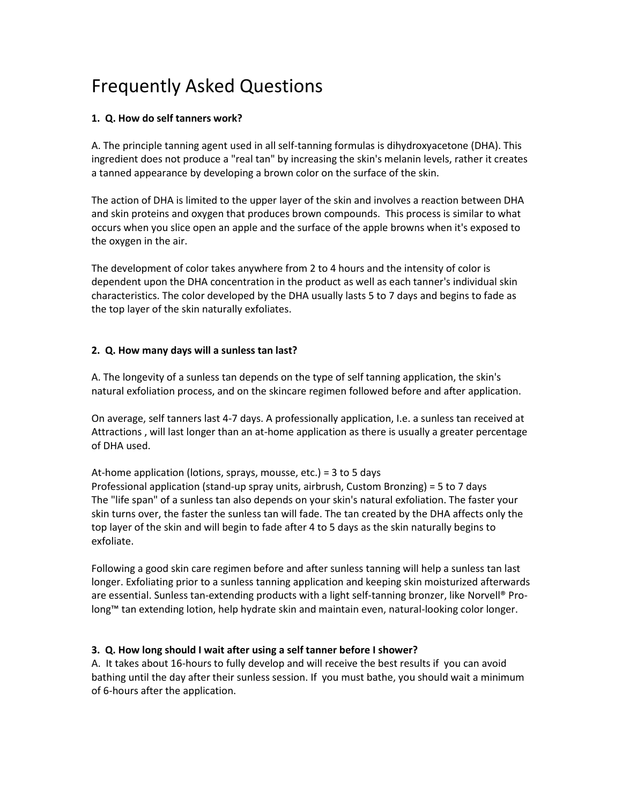# Frequently Asked Questions

# **1. Q. How do self tanners work?**

A. The principle tanning agent used in all self-tanning formulas is dihydroxyacetone (DHA). This ingredient does not produce a "real tan" by increasing the skin's melanin levels, rather it creates a tanned appearance by developing a brown color on the surface of the skin.

The action of DHA is limited to the upper layer of the skin and involves a reaction between DHA and skin proteins and oxygen that produces brown compounds. This process is similar to what occurs when you slice open an apple and the surface of the apple browns when it's exposed to the oxygen in the air.

The development of color takes anywhere from 2 to 4 hours and the intensity of color is dependent upon the DHA concentration in the product as well as each tanner's individual skin characteristics. The color developed by the DHA usually lasts 5 to 7 days and begins to fade as the top layer of the skin naturally exfoliates.

## **2. Q. How many days will a sunless tan last?**

A. The longevity of a sunless tan depends on the type of self tanning application, the skin's natural exfoliation process, and on the skincare regimen followed before and after application.

On average, self tanners last 4-7 days. A professionally application, I.e. a sunless tan received at Attractions , will last longer than an at-home application as there is usually a greater percentage of DHA used.

At-home application (lotions, sprays, mousse, etc.) = 3 to 5 days Professional application (stand-up spray units, airbrush, Custom Bronzing) = 5 to 7 days The "life span" of a sunless tan also depends on your skin's natural exfoliation. The faster your skin turns over, the faster the sunless tan will fade. The tan created by the DHA affects only the top layer of the skin and will begin to fade after 4 to 5 days as the skin naturally begins to exfoliate.

Following a good skin care regimen before and after sunless tanning will help a sunless tan last longer. Exfoliating prior to a sunless tanning application and keeping skin moisturized afterwards are essential. Sunless tan-extending products with a light self-tanning bronzer, like Norvell® Prolong™ tan extending lotion, help hydrate skin and maintain even, natural-looking color longer.

# **3. Q. How long should I wait after using a self tanner before I shower?**

A. It takes about 16-hours to fully develop and will receive the best results if you can avoid bathing until the day after their sunless session. If you must bathe, you should wait a minimum of 6-hours after the application.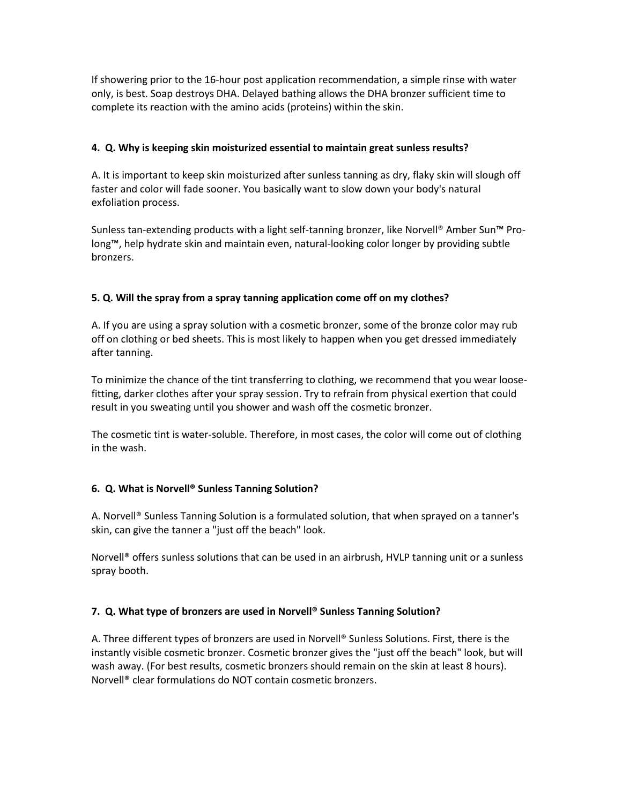If showering prior to the 16-hour post application recommendation, a simple rinse with water only, is best. Soap destroys DHA. Delayed bathing allows the DHA bronzer sufficient time to complete its reaction with the amino acids (proteins) within the skin.

## **4. Q. Why is keeping skin moisturized essential to maintain great sunless results?**

A. It is important to keep skin moisturized after sunless tanning as dry, flaky skin will slough off faster and color will fade sooner. You basically want to slow down your body's natural exfoliation process.

Sunless tan-extending products with a light self-tanning bronzer, like Norvell® Amber Sun™ Prolong™, help hydrate skin and maintain even, natural-looking color longer by providing subtle bronzers.

## **5. Q. Will the spray from a spray tanning application come off on my clothes?**

A. If you are using a spray solution with a cosmetic bronzer, some of the bronze color may rub off on clothing or bed sheets. This is most likely to happen when you get dressed immediately after tanning.

To minimize the chance of the tint transferring to clothing, we recommend that you wear loosefitting, darker clothes after your spray session. Try to refrain from physical exertion that could result in you sweating until you shower and wash off the cosmetic bronzer.

The cosmetic tint is water-soluble. Therefore, in most cases, the color will come out of clothing in the wash.

#### **6. Q. What is Norvell® Sunless Tanning Solution?**

A. Norvell® Sunless Tanning Solution is a formulated solution, that when sprayed on a tanner's skin, can give the tanner a "just off the beach" look.

Norvell® offers sunless solutions that can be used in an airbrush, HVLP tanning unit or a sunless spray booth.

#### **7. Q. What type of bronzers are used in Norvell® Sunless Tanning Solution?**

A. Three different types of bronzers are used in Norvell® Sunless Solutions. First, there is the instantly visible cosmetic bronzer. Cosmetic bronzer gives the "just off the beach" look, but will wash away. (For best results, cosmetic bronzers should remain on the skin at least 8 hours). Norvell® clear formulations do NOT contain cosmetic bronzers.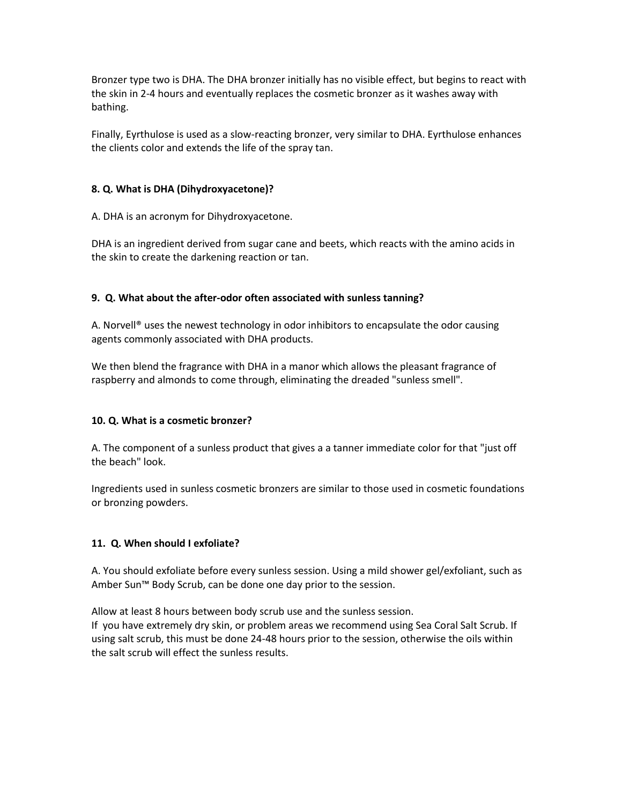Bronzer type two is DHA. The DHA bronzer initially has no visible effect, but begins to react with the skin in 2-4 hours and eventually replaces the cosmetic bronzer as it washes away with bathing.

Finally, Eyrthulose is used as a slow-reacting bronzer, very similar to DHA. Eyrthulose enhances the clients color and extends the life of the spray tan.

#### **8. Q. What is DHA (Dihydroxyacetone)?**

A. DHA is an acronym for Dihydroxyacetone.

DHA is an ingredient derived from sugar cane and beets, which reacts with the amino acids in the skin to create the darkening reaction or tan.

#### **9. Q. What about the after-odor often associated with sunless tanning?**

A. Norvell<sup>®</sup> uses the newest technology in odor inhibitors to encapsulate the odor causing agents commonly associated with DHA products.

We then blend the fragrance with DHA in a manor which allows the pleasant fragrance of raspberry and almonds to come through, eliminating the dreaded "sunless smell".

#### **10. Q. What is a cosmetic bronzer?**

A. The component of a sunless product that gives a a tanner immediate color for that "just off the beach" look.

Ingredients used in sunless cosmetic bronzers are similar to those used in cosmetic foundations or bronzing powders.

# **11. Q. When should I exfoliate?**

A. You should exfoliate before every sunless session. Using a mild shower gel/exfoliant, such as Amber Sun™ Body Scrub, can be done one day prior to the session.

Allow at least 8 hours between body scrub use and the sunless session. If you have extremely dry skin, or problem areas we recommend using Sea Coral Salt Scrub. If using salt scrub, this must be done 24-48 hours prior to the session, otherwise the oils within the salt scrub will effect the sunless results.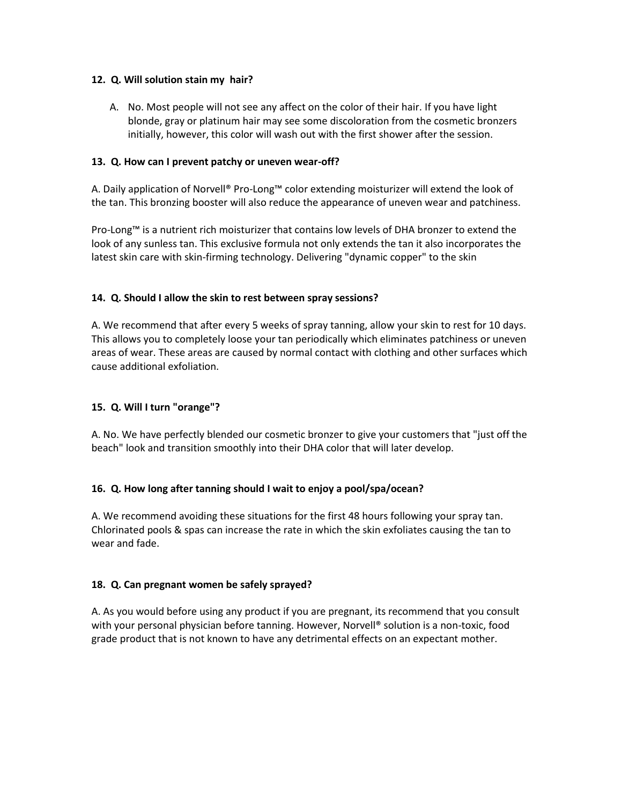#### **12. Q. Will solution stain my hair?**

A. No. Most people will not see any affect on the color of their hair. If you have light blonde, gray or platinum hair may see some discoloration from the cosmetic bronzers initially, however, this color will wash out with the first shower after the session.

## **13. Q. How can I prevent patchy or uneven wear-off?**

A. Daily application of Norvell® Pro-Long™ color extending moisturizer will extend the look of the tan. This bronzing booster will also reduce the appearance of uneven wear and patchiness.

Pro-Long™ is a nutrient rich moisturizer that contains low levels of DHA bronzer to extend the look of any sunless tan. This exclusive formula not only extends the tan it also incorporates the latest skin care with skin-firming technology. Delivering "dynamic copper" to the skin

# **14. Q. Should I allow the skin to rest between spray sessions?**

A. We recommend that after every 5 weeks of spray tanning, allow your skin to rest for 10 days. This allows you to completely loose your tan periodically which eliminates patchiness or uneven areas of wear. These areas are caused by normal contact with clothing and other surfaces which cause additional exfoliation.

# **15. Q. Will I turn "orange"?**

A. No. We have perfectly blended our cosmetic bronzer to give your customers that "just off the beach" look and transition smoothly into their DHA color that will later develop.

# **16. Q. How long after tanning should I wait to enjoy a pool/spa/ocean?**

A. We recommend avoiding these situations for the first 48 hours following your spray tan. Chlorinated pools & spas can increase the rate in which the skin exfoliates causing the tan to wear and fade.

#### **18. Q. Can pregnant women be safely sprayed?**

A. As you would before using any product if you are pregnant, its recommend that you consult with your personal physician before tanning. However, Norvell® solution is a non-toxic, food grade product that is not known to have any detrimental effects on an expectant mother.